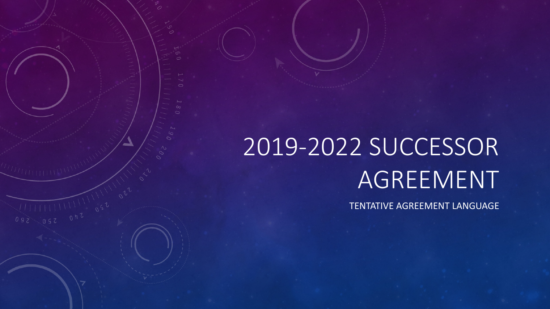# 2019-2022 SUCCESSOR AGREEMENT

 $111110022$ 

TENTATIVE AGREEMENT LANGUAGE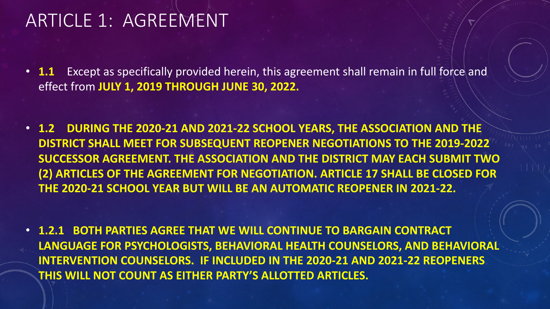#### ARTICLE 1: AGREEMENT

- **1.1** Except as specifically provided herein, this agreement shall remain in full force and effect from **JULY 1, 2019 THROUGH JUNE 30, 2022.**
- **1.2 DURING THE 2020-21 AND 2021-22 SCHOOL YEARS, THE ASSOCIATION AND THE DISTRICT SHALL MEET FOR SUBSEQUENT REOPENER NEGOTIATIONS TO THE 2019-2022 SUCCESSOR AGREEMENT. THE ASSOCIATION AND THE DISTRICT MAY EACH SUBMIT TWO (2) ARTICLES OF THE AGREEMENT FOR NEGOTIATION. ARTICLE 17 SHALL BE CLOSED FOR THE 2020-21 SCHOOL YEAR BUT WILL BE AN AUTOMATIC REOPENER IN 2021-22.**
- **1.2.1 BOTH PARTIES AGREE THAT WE WILL CONTINUE TO BARGAIN CONTRACT LANGUAGE FOR PSYCHOLOGISTS, BEHAVIORAL HEALTH COUNSELORS, AND BEHAVIORAL INTERVENTION COUNSELORS. IF INCLUDED IN THE 2020-21 AND 2021-22 REOPENERS THIS WILL NOT COUNT AS EITHER PARTY'S ALLOTTED ARTICLES.**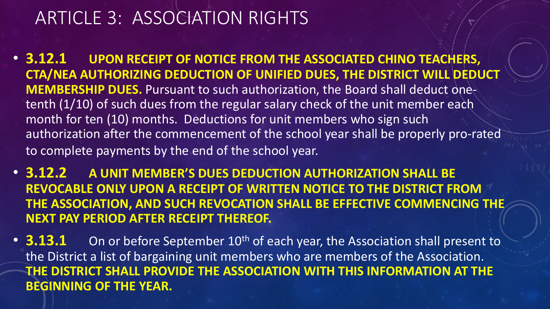### ARTICLE 3: ASSOCIATION RIGHTS

- **3.12.1 UPON RECEIPT OF NOTICE FROM THE ASSOCIATED CHINO TEACHERS, CTA/NEA AUTHORIZING DEDUCTION OF UNIFIED DUES, THE DISTRICT WILL DEDUCT MEMBERSHIP DUES.** Pursuant to such authorization, the Board shall deduct onetenth (1/10) of such dues from the regular salary check of the unit member each month for ten (10) months. Deductions for unit members who sign such authorization after the commencement of the school year shall be properly pro-rated to complete payments by the end of the school year.
- **3.12.2 A UNIT MEMBER'S DUES DEDUCTION AUTHORIZATION SHALL BE REVOCABLE ONLY UPON A RECEIPT OF WRITTEN NOTICE TO THE DISTRICT FROM THE ASSOCIATION, AND SUCH REVOCATION SHALL BE EFFECTIVE COMMENCING THE NEXT PAY PERIOD AFTER RECEIPT THEREOF.**
- **3.13.1** On or before September 10<sup>th</sup> of each year, the Association shall present to the District a list of bargaining unit members who are members of the Association. **THE DISTRICT SHALL PROVIDE THE ASSOCIATION WITH THIS INFORMATION AT THE BEGINNING OF THE YEAR.**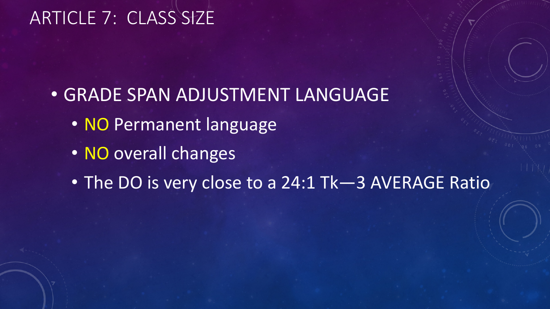### ARTICLE 7: CLASS SIZE

- GRADE SPAN ADJUSTMENT LANGUAGE
	- NO Permanent language
	- NO overall changes
	- The DO is very close to a 24:1 Tk—3 AVERAGE Ratio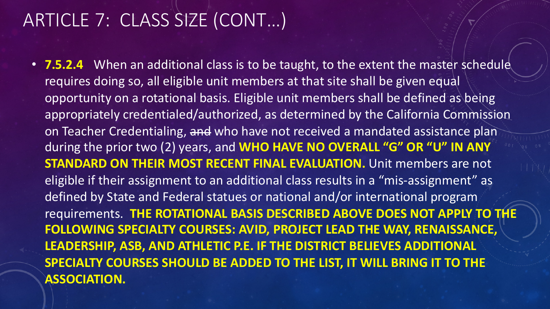### ARTICLE 7: CLASS SIZE (CONT…)

• **7.5.2.4** When an additional class is to be taught, to the extent the master schedule requires doing so, all eligible unit members at that site shall be given equal opportunity on a rotational basis. Eligible unit members shall be defined as being appropriately credentialed/authorized, as determined by the California Commission on Teacher Credentialing, and who have not received a mandated assistance plan during the prior two (2) years, and **WHO HAVE NO OVERALL "G" OR "U" IN ANY STANDARD ON THEIR MOST RECENT FINAL EVALUATION.** Unit members are not eligible if their assignment to an additional class results in a "mis-assignment" as defined by State and Federal statues or national and/or international program requirements. **THE ROTATIONAL BASIS DESCRIBED ABOVE DOES NOT APPLY TO THE FOLLOWING SPECIALTY COURSES: AVID, PROJECT LEAD THE WAY, RENAISSANCE, LEADERSHIP, ASB, AND ATHLETIC P.E. IF THE DISTRICT BELIEVES ADDITIONAL SPECIALTY COURSES SHOULD BE ADDED TO THE LIST, IT WILL BRING IT TO THE ASSOCIATION.**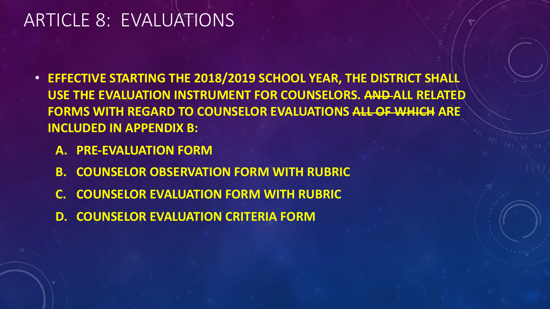#### ARTICLE 8: EVALUATIONS

- **EFFECTIVE STARTING THE 2018/2019 SCHOOL YEAR, THE DISTRICT SHALL USE THE EVALUATION INSTRUMENT FOR COUNSELORS. AND ALL RELATED FORMS WITH REGARD TO COUNSELOR EVALUATIONS ALL OF WHICH ARE INCLUDED IN APPENDIX B:** 
	- **A. PRE-EVALUATION FORM**
	- **B. COUNSELOR OBSERVATION FORM WITH RUBRIC**
	- **C. COUNSELOR EVALUATION FORM WITH RUBRIC**
	- **D. COUNSELOR EVALUATION CRITERIA FORM**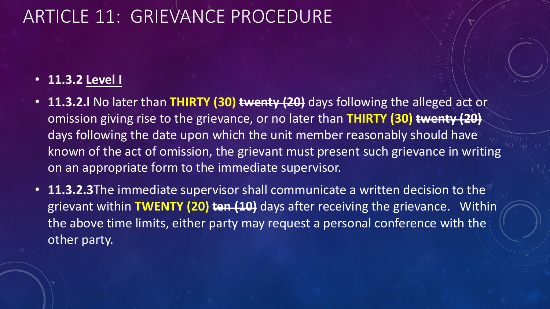# ARTICLE 11: GRIEVANCE PROCEDURE

#### • **11.3.2 Level I**

- **11.3.2.l** No later than **THIRTY (30) twenty (20)** days following the alleged act or omission giving rise to the grievance, or no later than **THIRTY (30) twenty (20)** days following the date upon which the unit member reasonably should have known of the act of omission, the grievant must present such grievance in writing on an appropriate form to the immediate supervisor.
- **11.3.2.3**The immediate supervisor shall communicate a written decision to the grievant within **TWENTY (20) ten (10)** days after receiving the grievance. Within the above time limits, either party may request a personal conference with the other party.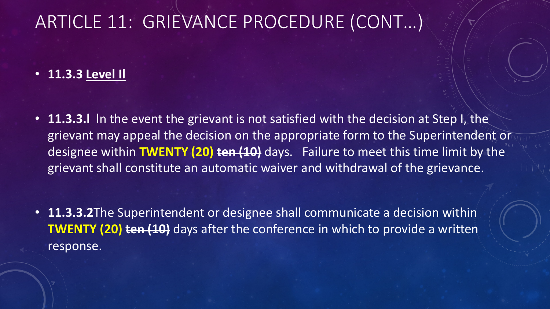#### • **11.3.3 Level Il**

• **11.3.3.l** ln the event the grievant is not satisfied with the decision at Step I, the grievant may appeal the decision on the appropriate form to the Superintendent or designee within **TWENTY (20) ten (10)** days. Failure to meet this time limit by the grievant shall constitute an automatic waiver and withdrawal of the grievance.

• **11.3.3.2**The Superintendent or designee shall communicate a decision within **TWENTY (20) ten (10)** days after the conference in which to provide a written response.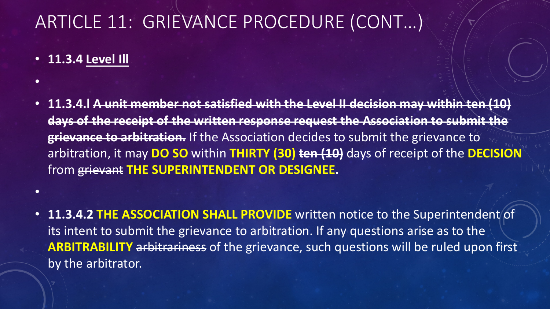• **11.3.4 Level Ill**

•

•

- **11.3.4.l A unit member not satisfied with the Level II decision may within ten (10) days of the receipt of the written response request the Association to submit the grievance to arbitration.** If the Association decides to submit the grievance to arbitration, it may **DO SO** within **THIRTY (30) ten (10)** days of receipt of the **DECISION** from grievant **THE SUPERINTENDENT OR DESIGNEE.**
- **11.3.4.2 THE ASSOCIATION SHALL PROVIDE** written notice to the Superintendent of its intent to submit the grievance to arbitration. If any questions arise as to the **ARBITRABILITY** arbitrariness of the grievance, such questions will be ruled upon first by the arbitrator.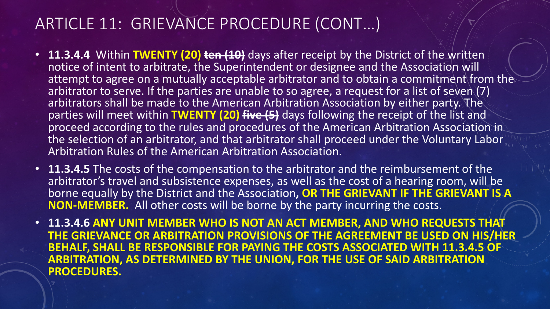- **11.3.4.4** Within **TWENTY (20) ten (10)** days after receipt by the District of the written notice of intent to arbitrate, the Superintendent or designee and the Association will attempt to agree on a mutually acceptable arbitrator and to obtain a commitment from the arbitrator to serve. If the parties are unable to so agree, a request for a list of seven (7) arbitrators shall be made to the American Arbitration Association by either party. The parties will meet within **TWENTY (20) five (5)** days following the receipt of the list and proceed according to the rules and procedures of the American Arbitration Association in the selection of an arbitrator, and that arbitrator shall proceed under the Voluntary Labor Arbitration Rules of the American Arbitration Association.
- **11.3.4.5** The costs of the compensation to the arbitrator and the reimbursement of the arbitrator's travel and subsistence expenses, as well as the cost of a hearing room, will be borne equally by the District and the Association**, OR THE GRIEVANT IF THE GRIEVANT IS A NON-MEMBER.** All other costs will be borne by the party incurring the costs.
- **11.3.4.6 ANY UNIT MEMBER WHO IS NOT AN ACT MEMBER, AND WHO REQUESTS THAT THE GRIEVANCE OR ARBITRATION PROVISIONS OF THE AGREEMENT BE USED ON HIS/HER BEHALF, SHALL BE RESPONSIBLE FOR PAYING THE COSTS ASSOCIATED WITH 11.3.4.5 OF ARBITRATION, AS DETERMINED BY THE UNION, FOR THE USE OF SAID ARBITRATION PROCEDURES.**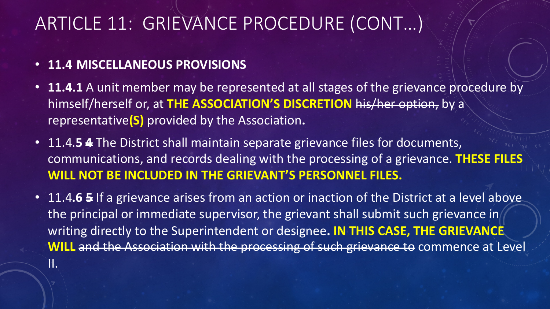#### • **11.4 MISCELLANEOUS PROVISIONS**

II.

- **11.4.1** A unit member may be represented at all stages of the grievance procedure by himself/herself or, at **THE ASSOCIATION'S DISCRETION** his/her option, by a representative**(S)** provided by the Association**.**
- 11.4.**5 4** The District shall maintain separate grievance files for documents, communications, and records dealing with the processing of a grievance. **THESE FILES WILL NOT BE INCLUDED IN THE GRIEVANT'S PERSONNEL FILES.**
- 11.4.6 **5** If a grievance arises from an action or inaction of the District at a level above the principal or immediate supervisor, the grievant shall submit such grievance in writing directly to the Superintendent or designee**. IN THIS CASE, THE GRIEVANCE WILL** and the Association with the processing of such grievance to commence at Level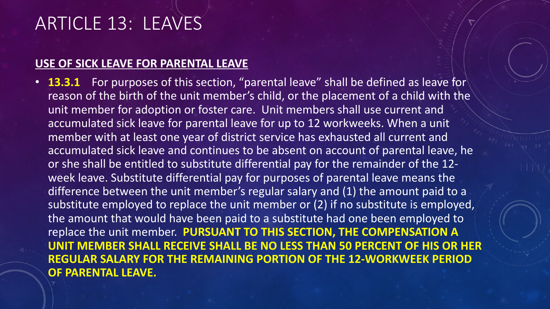### ARTICLE 13: LEAVES

#### **USE OF SICK LEAVE FOR PARENTAL LEAVE**

• **13.3.1** For purposes of this section, "parental leave" shall be defined as leave for reason of the birth of the unit member's child, or the placement of a child with the unit member for adoption or foster care. Unit members shall use current and accumulated sick leave for parental leave for up to 12 workweeks. When a unit member with at least one year of district service has exhausted all current and accumulated sick leave and continues to be absent on account of parental leave, he or she shall be entitled to substitute differential pay for the remainder of the 12 week leave. Substitute differential pay for purposes of parental leave means the difference between the unit member's regular salary and (1) the amount paid to a substitute employed to replace the unit member or (2) if no substitute is employed, the amount that would have been paid to a substitute had one been employed to replace the unit member. **PURSUANT TO THIS SECTION, THE COMPENSATION A UNIT MEMBER SHALL RECEIVE SHALL BE NO LESS THAN 50 PERCENT OF HIS OR HER REGULAR SALARY FOR THE REMAINING PORTION OF THE 12-WORKWEEK PERIOD OF PARENTAL LEAVE.**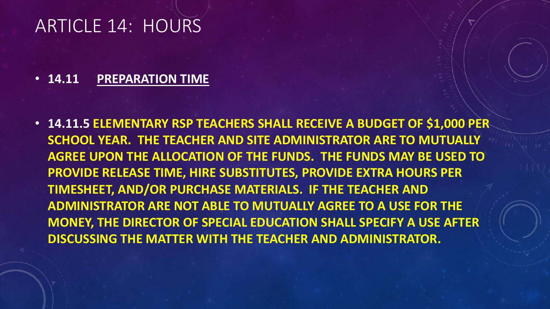#### ARTICLE 14: HOURS

#### • **14.11 PREPARATION TIME**

• **14.11.5 ELEMENTARY RSP TEACHERS SHALL RECEIVE A BUDGET OF \$1,000 PER SCHOOL YEAR. THE TEACHER AND SITE ADMINISTRATOR ARE TO MUTUALLY AGREE UPON THE ALLOCATION OF THE FUNDS. THE FUNDS MAY BE USED TO PROVIDE RELEASE TIME, HIRE SUBSTITUTES, PROVIDE EXTRA HOURS PER TIMESHEET, AND/OR PURCHASE MATERIALS. IF THE TEACHER AND ADMINISTRATOR ARE NOT ABLE TO MUTUALLY AGREE TO A USE FOR THE MONEY, THE DIRECTOR OF SPECIAL EDUCATION SHALL SPECIFY A USE AFTER DISCUSSING THE MATTER WITH THE TEACHER AND ADMINISTRATOR.**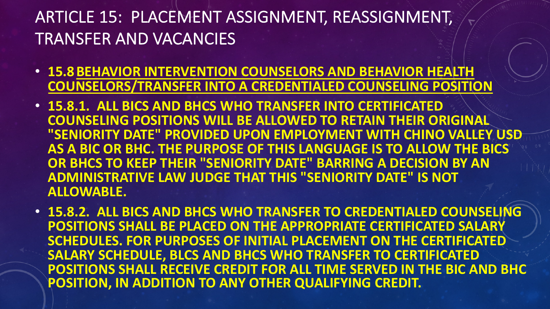### ARTICLE 15: PLACEMENT ASSIGNMENT, REASSIGNMENT, TRANSFER AND VACANCIES

- **15.8BEHAVIOR INTERVENTION COUNSELORS AND BEHAVIOR HEALTH COUNSELORS/TRANSFER INTO A CREDENTIALED COUNSELING POSITION**
- **15.8.1. ALL BICS AND BHCS WHO TRANSFER INTO CERTIFICATED COUNSELING POSITIONS WILL BE ALLOWED TO RETAIN THEIR ORIGINAL "SENIORITY DATE" PROVIDED UPON EMPLOYMENT WITH CHINO VALLEY USD AS A BIC OR BHC. THE PURPOSE OF THIS LANGUAGE IS TO ALLOW THE BICS OR BHCS TO KEEP THEIR "SENIORITY DATE" BARRING A DECISION BY AN ADMINISTRATIVE LAW JUDGE THAT THIS "SENIORITY DATE" IS NOT ALLOWABLE.**
- **15.8.2. ALL BICS AND BHCS WHO TRANSFER TO CREDENTIALED COUNSELING POSITIONS SHALL BE PLACED ON THE APPROPRIATE CERTIFICATED SALARY SCHEDULES. FOR PURPOSES OF INITIAL PLACEMENT ON THE CERTIFICATED SALARY SCHEDULE, BLCS AND BHCS WHO TRANSFER TO CERTIFICATED POSITIONS SHALL RECEIVE CREDIT FOR ALL TIME SERVED IN THE BIC AND BHC POSITION, IN ADDITION TO ANY OTHER QUALIFYING CREDIT.**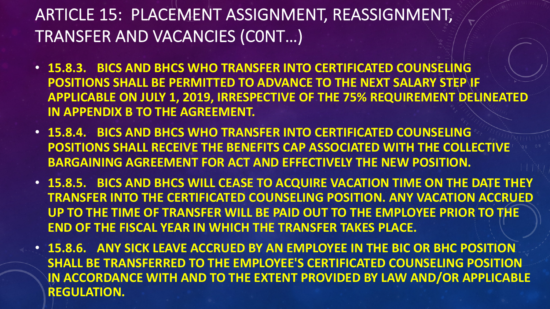#### ARTICLE 15: PLACEMENT ASSIGNMENT, REASSIGNMENT, TRANSFER AND VACANCIES (C0NT…)

- **15.8.3. BICS AND BHCS WHO TRANSFER INTO CERTIFICATED COUNSELING POSITIONS SHALL BE PERMITTED TO ADVANCE TO THE NEXT SALARY STEP IF APPLICABLE ON JULY 1, 2019, IRRESPECTIVE OF THE 75% REQUIREMENT DELINEATED IN APPENDIX B TO THE AGREEMENT.**
- **15.8.4. BICS AND BHCS WHO TRANSFER INTO CERTIFICATED COUNSELING POSITIONS SHALL RECEIVE THE BENEFITS CAP ASSOCIATED WITH THE COLLECTIVE BARGAINING AGREEMENT FOR ACT AND EFFECTIVELY THE NEW POSITION.**
- **15.8.5. BICS AND BHCS WILL CEASE TO ACQUIRE VACATION TIME ON THE DATE THEY TRANSFER INTO THE CERTIFICATED COUNSELING POSITION. ANY VACATION ACCRUED UP TO THE TIME OF TRANSFER WILL BE PAID OUT TO THE EMPLOYEE PRIOR TO THE END OF THE FISCAL YEAR IN WHICH THE TRANSFER TAKES PLACE.**
- **15.8.6. ANY SICK LEAVE ACCRUED BY AN EMPLOYEE IN THE BIC OR BHC POSITION SHALL BE TRANSFERRED TO THE EMPLOYEE'S CERTIFICATED COUNSELING POSITION IN ACCORDANCE WITH AND TO THE EXTENT PROVIDED BY LAW AND/OR APPLICABLE REGULATION.**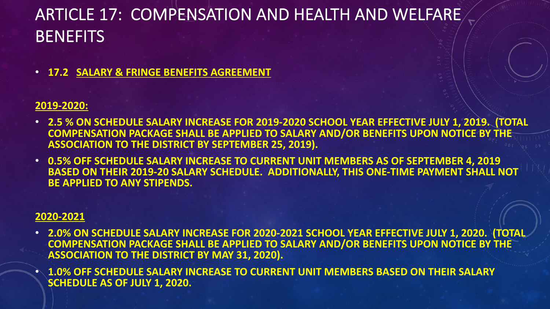#### ARTICLE 17: COMPENSATION AND HEALTH AND WELFARE **BENEFITS**

• **17.2 SALARY & FRINGE BENEFITS AGREEMENT**

#### **2019-2020:**

- **2.5 % ON SCHEDULE SALARY INCREASE FOR 2019-2020 SCHOOL YEAR EFFECTIVE JULY 1, 2019. (TOTAL COMPENSATION PACKAGE SHALL BE APPLIED TO SALARY AND/OR BENEFITS UPON NOTICE BY THE ASSOCIATION TO THE DISTRICT BY SEPTEMBER 25, 2019).**
- **0.5% OFF SCHEDULE SALARY INCREASE TO CURRENT UNIT MEMBERS AS OF SEPTEMBER 4, 2019 BASED ON THEIR 2019-20 SALARY SCHEDULE. ADDITIONALLY, THIS ONE-TIME PAYMENT SHALL NOT BE APPLIED TO ANY STIPENDS.**

#### **2020-2021**

- **2.0% ON SCHEDULE SALARY INCREASE FOR 2020-2021 SCHOOL YEAR EFFECTIVE JULY 1, 2020. (TOTAL COMPENSATION PACKAGE SHALL BE APPLIED TO SALARY AND/OR BENEFITS UPON NOTICE BY THE ASSOCIATION TO THE DISTRICT BY MAY 31, 2020).**
- **1.0% OFF SCHEDULE SALARY INCREASE TO CURRENT UNIT MEMBERS BASED ON THEIR SALARY SCHEDULE AS OF JULY 1, 2020.**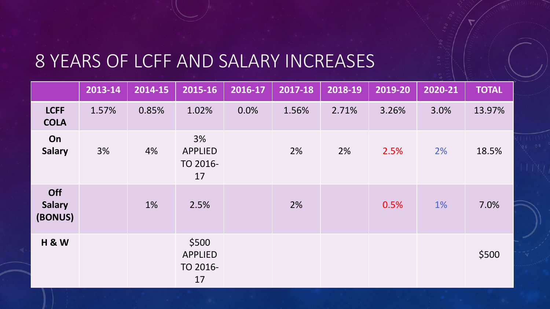### 8 YEARS OF LCFF AND SALARY INCREASES

|                                 | 2013-14 | 2014-15 | 2015-16                                   | 2016-17 | 2017-18 | 2018-19 | 2019-20 | 2020-21 | <b>TOTAL</b> |
|---------------------------------|---------|---------|-------------------------------------------|---------|---------|---------|---------|---------|--------------|
| <b>LCFF</b><br><b>COLA</b>      | 1.57%   | 0.85%   | 1.02%                                     | 0.0%    | 1.56%   | 2.71%   | 3.26%   | 3.0%    | 13.97%       |
| On<br><b>Salary</b>             | 3%      | 4%      | 3%<br><b>APPLIED</b><br>TO 2016-<br>17    |         | 2%      | 2%      | 2.5%    | 2%      | 18.5%        |
| Off<br><b>Salary</b><br>(BONUS) |         | 1%      | 2.5%                                      |         | 2%      |         | 0.5%    | 1%      | 7.0%         |
| <b>H &amp; W</b>                |         |         | \$500<br><b>APPLIED</b><br>TO 2016-<br>17 |         |         |         |         |         | \$500        |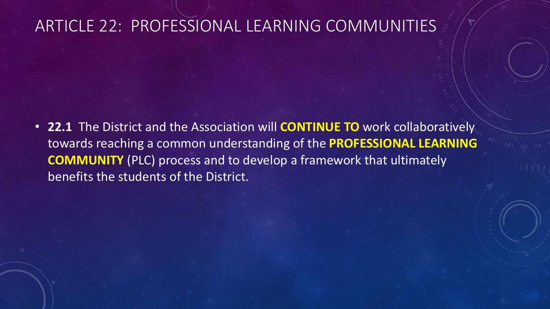#### ARTICLE 22: PROFESSIONAL LEARNING COMMUNITIES

• **22.1** The District and the Association will **CONTINUE TO** work collaboratively towards reaching a common understanding of the **PROFESSIONAL LEARNING COMMUNITY** (PLC) process and to develop a framework that ultimately benefits the students of the District.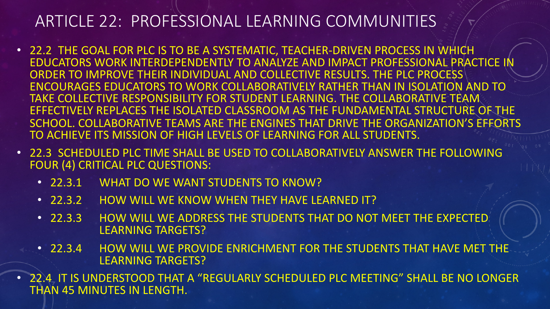#### ARTICLE 22: PROFESSIONAL LEARNING COMMUNITIES

- 22.2 THE GOAL FOR PLC IS TO BE A SYSTEMATIC, TEACHER-DRIVEN PROCESS IN WHICH EDUCATORS WORK INTERDEPENDENTLY TO ANALYZE AND IMPACT PROFESSIONAL PRACTICE IN ORDER TO IMPROVE THEIR INDIVIDUAL AND COLLECTIVE RESULTS. THE PLC PROCESS ENCOURAGES EDUCATORS TO WORK COLLABORATIVELY RATHER THAN IN ISOLATION AND TO TAKE COLLECTIVE RESPONSIBILITY FOR STUDENT LEARNING. THE COLLABORATIVE TEAM EFFECTIVELY REPLACES THE ISOLATED CLASSROOM AS THE FUNDAMENTAL STRUCTURE OF THE SCHOOL. COLLABORATIVE TEAMS ARE THE ENGINES THAT DRIVE THE ORGANIZATION'S EFFORTS TO ACHIEVE ITS MISSION OF HIGH LEVELS OF LEARNING FOR ALL STUDENTS.
- 22.3 SCHEDULED PLC TIME SHALL BE USED TO COLLABORATIVELY ANSWER THE FOLLOWING FOUR (4) CRITICAL PLC QUESTIONS:
	- 22.3.1 WHAT DO WE WANT STUDENTS TO KNOW?
	- 22.3.2 HOW WILL WE KNOW WHEN THEY HAVE LEARNED IT?
	- 22.3.3 HOW WILL WE ADDRESS THE STUDENTS THAT DO NOT MEET THE EXPECTED LEARNING TARGETS?
	- 22.3.4 HOW WILL WE PROVIDE ENRICHMENT FOR THE STUDENTS THAT HAVE MET THE LEARNING TARGETS?
- 22.4 IT IS UNDERSTOOD THAT A "REGULARLY SCHEDULED PLC MEETING" SHALL BE NO LONGER THAN 45 MINUTES IN LENGTH.